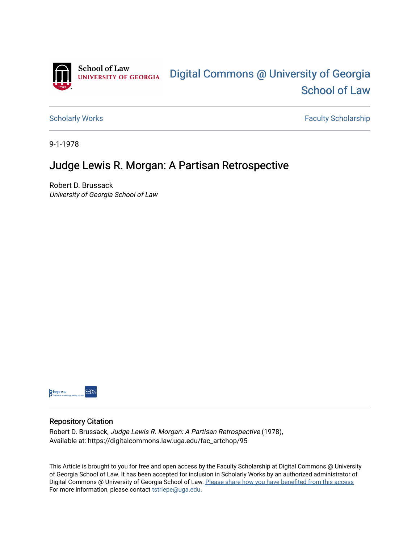

[Scholarly Works](https://digitalcommons.law.uga.edu/fac_artchop) **Faculty Scholarship** Scholarship

9-1-1978

## Judge Lewis R. Morgan: A Partisan Retrospective

Robert D. Brussack University of Georgia School of Law



## Repository Citation

Robert D. Brussack, Judge Lewis R. Morgan: A Partisan Retrospective (1978), Available at: https://digitalcommons.law.uga.edu/fac\_artchop/95

This Article is brought to you for free and open access by the Faculty Scholarship at Digital Commons @ University of Georgia School of Law. It has been accepted for inclusion in Scholarly Works by an authorized administrator of Digital Commons @ University of Georgia School of Law. Please share how you have benefited from this access For more information, please contact [tstriepe@uga.edu](mailto:tstriepe@uga.edu).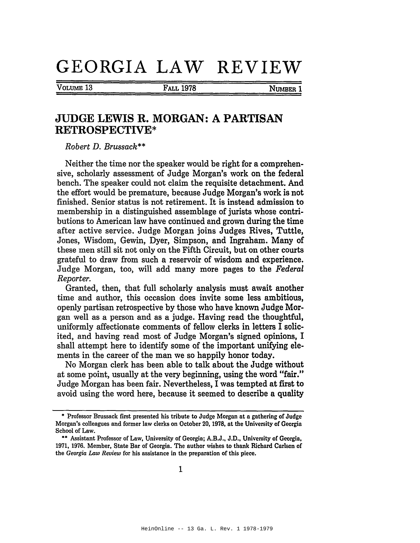## GEORGIA LAW REVIEW

VOLUME<sub>13</sub>

**FALL 1978** 

NUMBER 1

## **JUDGE LEWIS R. MORGAN: A PARTISAN RETROSPECTIVE\***

Robert D. Brussack\*\*

Neither the time nor the speaker would be right for a comprehensive, scholarly assessment of Judge Morgan's work on the federal bench. The speaker could not claim the requisite detachment. And the effort would be premature, because Judge Morgan's work is not finished. Senior status is not retirement. It is instead admission to membership in a distinguished assemblage of jurists whose contributions to American law have continued and grown during the time after active service. Judge Morgan joins Judges Rives, Tuttle, Jones, Wisdom, Gewin, Dyer, Simpson, and Ingraham. Many of these men still sit not only on the Fifth Circuit, but on other courts grateful to draw from such a reservoir of wisdom and experience. Judge Morgan, too, will add many more pages to the Federal Reporter.

Granted, then, that full scholarly analysis must await another time and author, this occasion does invite some less ambitious, openly partisan retrospective by those who have known Judge Morgan well as a person and as a judge. Having read the thoughtful, uniformly affectionate comments of fellow clerks in letters I solicited, and having read most of Judge Morgan's signed opinions, I shall attempt here to identify some of the important unifying elements in the career of the man we so happily honor today.

No Morgan clerk has been able to talk about the Judge without at some point, usually at the very beginning, using the word "fair." Judge Morgan has been fair. Nevertheless, I was tempted at first to avoid using the word here, because it seemed to describe a quality

<sup>\*</sup> Professor Brussack first presented his tribute to Judge Morgan at a gathering of Judge Morgan's colleagues and former law clerks on October 20, 1978, at the University of Georgia School of Law.

<sup>\*\*</sup> Assistant Professor of Law, University of Georgia; A.B.J., J.D., University of Georgia, 1971, 1976. Member, State Bar of Georgia. The author wishes to thank Richard Carlson of the Georgia Law Review for his assistance in the preparation of this piece.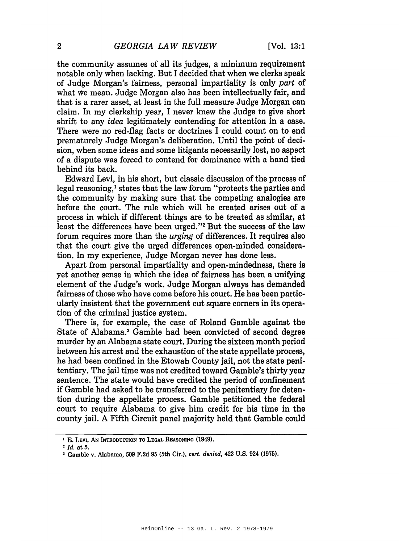the community assumes of all its judges, a minimum requirement notable only when lacking. But I decided that when we clerks speak of Judge Morgan's fairness, personal impartiality is only part of what we mean. Judge Morgan also has been intellectually fair, and that is a rarer asset, at least in the full measure Judge Morgan can claim. In my clerkship year, I never knew the Judge to give short shrift to any idea legitimately contending for attention in a case. There were no red-flag facts or doctrines I could count on to end prematurely Judge Morgan's deliberation. Until the point of decision, when some ideas and some litigants necessarily lost, no aspect of a dispute was forced to contend for dominance with a hand tied behind its back.

Edward Levi, in his short, but classic discussion of the process of legal reasoning,<sup>1</sup> states that the law forum "protects the parties and the community by making sure that the competing analogies are before the court. The rule which will be created arises out of a process in which if different things are to be treated as similar, at least the differences have been urged."<sup>2</sup> But the success of the law forum requires more than the *urging* of differences. It requires also that the court give the urged differences open-minded consideration. In my experience, Judge Morgan never has done less.

Apart from personal impartiality and open-mindedness, there is yet another sense in which the idea of fairness has been a unifying element of the Judge's work. Judge Morgan always has demanded fairness of those who have come before his court. He has been particularly insistent that the government cut square corners in its operation of the criminal justice system.

There is, for example, the case of Roland Gamble against the State of Alabama.<sup>3</sup> Gamble had been convicted of second degree murder by an Alabama state court. During the sixteen month period between his arrest and the exhaustion of the state appellate process, he had been confined in the Etowah County jail, not the state penitentiary. The jail time was not credited toward Gamble's thirty year sentence. The state would have credited the period of confinement if Gamble had asked to be transferred to the penitentiary for detention during the appellate process. Gamble petitioned the federal court to require Alabama to give him credit for his time in the county jail. A Fifth Circuit panel majority held that Gamble could

<sup>&</sup>lt;sup>1</sup> E. Levi, An Introduction to Legal Reasoning (1949).

 $2$   $Id$  at 5.

<sup>&</sup>lt;sup>3</sup> Gamble v. Alabama, 509 F.2d 95 (5th Cir.), cert. denied, 423 U.S. 924 (1975).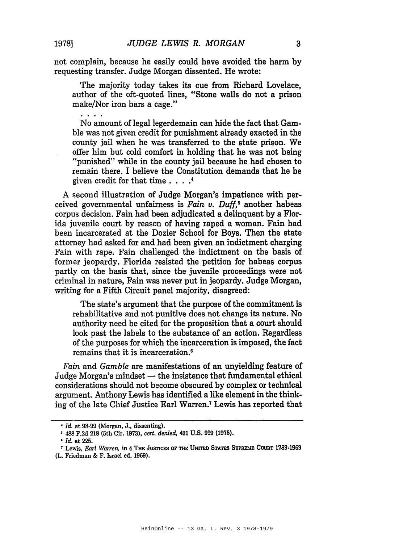not complain, because he easily could have avoided the harm by requesting transfer. Judge Morgan dissented. He wrote:

The majority today takes its cue from Richard Lovelace, author of the oft-quoted lines, "Stone walls do not a prison make/Nor iron bars a cage."

No amount of legal legerdemain can hide the fact that Gamble was not given credit for punishment already exacted in the county jail when he was transferred to the state prison. We offer him but cold comfort in holding that he was not being "punished" while in the county jail because he had chosen to remain there. I believe the Constitution demands that he be given credit for that time  $\ldots$ .

A second illustration of Judge Morgan's impatience with perceived governmental unfairness is Fain  $v$ . Duff,<sup>5</sup> another habeas corpus decision. Fain had been adjudicated a delinquent by a Florida juvenile court by reason of having raped a woman. Fain had been incarcerated at the Dozier School for Boys. Then the state attorney had asked for and had been given an indictment charging Fain with rape. Fain challenged the indictment on the basis of former jeopardy. Florida resisted the petition for habeas corpus partly on the basis that, since the juvenile proceedings were not criminal in nature, Fain was never put in jeopardy. Judge Morgan, writing for a Fifth Circuit panel majority, disagreed:

The state's argument that the purpose of the commitment is rehabilitative and not punitive does not change its nature. No authority need be cited for the proposition that a court should look past the labels to the substance of an action. Regardless of the purposes for which the incarceration is imposed, the fact remains that it is incarceration.<sup>6</sup>

Fain and Gamble are manifestations of an unyielding feature of Judge Morgan's mindset — the insistence that fundamental ethical considerations should not become obscured by complex or technical argument. Anthony Lewis has identified a like element in the thinking of the late Chief Justice Earl Warren.<sup>7</sup> Lewis has reported that

<sup>&</sup>lt;sup>4</sup> Id. at 98-99 (Morgan, J., dissenting).

<sup>&</sup>lt;sup>5</sup> 488 F.2d 218 (5th Cir. 1973), cert. denied, 421 U.S. 999 (1975).

*<sup>&#</sup>x27; Id.* at 225.

<sup>&</sup>lt;sup>7</sup> Lewis, Earl Warren, in 4 THE JUSTICES OF THE UNITED STATES SUPREME COURT 1789-1969

<sup>(</sup>L. Friedman & F. Israel ed. 1969).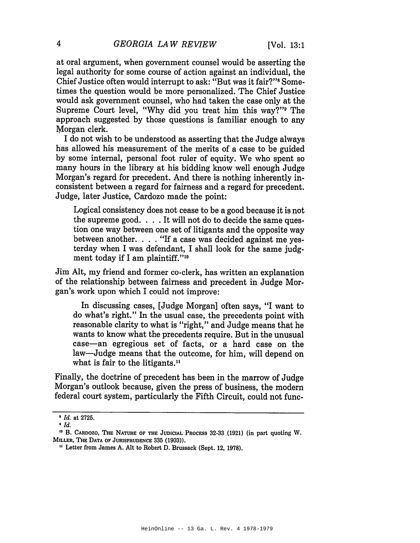at oral argument, when government counsel would be asserting the legal authority for some course of action against an individual, the Chief Justice often would interrupt to ask: "But was it fair?" Sometimes the question would be more personalized. The Chief Justice would ask government counsel, who had taken the case only at the Supreme Court level, "Why did you treat him this way?" The approach suggested by those questions is familiar enough to any Morgan clerk.

I do not wish to be understood as asserting that the Judge always has allowed his measurement of the merits of a case to be guided by some internal, personal foot ruler of equity. We who spent so many hours in the library at his bidding know well enough Judge Morgan's regard for precedent. And there is nothing inherently inconsistent between a regard for fairness and a regard for precedent. Judge, later Justice, Cardozo made the point:

Logical consistency does not cease to be a good because it is not the supreme good.... It will not do to decide the same question one way between one set of litigants and the opposite way between another. . . . "If a case was decided against me yesterday when I was defendant, I shall look for the same judgment today if I am plaintiff."<sup>10</sup>

Jim Alt, my friend and former co-clerk, has written an explanation of the relationship between fairness and precedent in Judge Morgan's work upon which I could not improve:

In discussing cases, [Judge Morgan] often says, "I want to do what's right." In the usual case, the precedents point with reasonable clarity to what is "right," and Judge means that he wants to know what the precedents require. But in the unusual case—an egregious set of facts, or a hard case on the law—Judge means that the outcome, for him, will depend on what is fair to the litigants.<sup>11</sup>

Finally, the doctrine of precedent has been in the marrow of Judge Morgan's outlook because, given the press of business, the modern federal court system, particularly the Fifth Circuit, could not func-

<sup>&</sup>lt;sup>3</sup> Id. at 2725.

 $\bullet$  Id.

<sup>&</sup>lt;sup>10</sup> B. CARDOZO, THE NATURE OF THE JUDICIAL PROCESS 32-33 (1921) (in part quoting W. MILLER, THE DATA OF JURISPRUDENCE 335 (1903)).

<sup>&</sup>lt;sup>11</sup> Letter from James A. Alt to Robert D. Brussack (Sept. 12, 1978).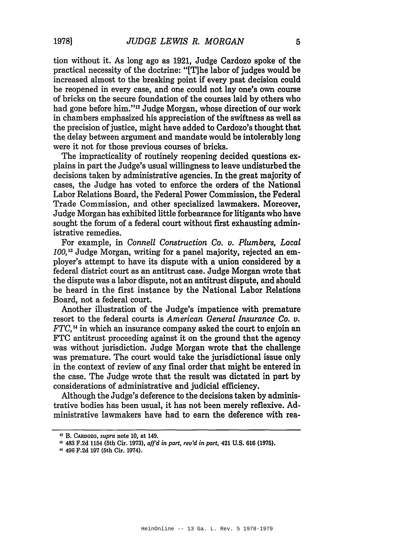tion without it. As long ago as 1921, Judge Cardozo spoke of the practical necessity of the doctrine: "[T]he labor of judges would be increased almost to the breaking point if every past decision could be reopened in every case, and one could not lay one's own course of bricks on the secure foundation of the courses laid by others who had gone before him."<sup>12</sup> Judge Morgan, whose direction of our work in chambers emphasized his appreciation of the swiftness as well as the precision of justice, might have added to Cardozo's thought that the delay between argument and mandate would be intolerably long were it not for those previous courses of bricks.

The impracticality of routinely reopening decided questions explains in part the Judge's usual willingness to leave undisturbed the decisions taken by administrative agencies. In the great majority of cases, the Judge has voted to enforce the orders of the National Labor Relations Board, the Federal Power Commission, the Federal Trade Commission, and other specialized lawmakers. Moreover, Judge Morgan has exhibited little forbearance for litigants who have sought the forum of a federal court without first exhausting administrative remedies.

For example, in Connell Construction Co. v. Plumbers, Local 100,<sup>13</sup> Judge Morgan, writing for a panel majority, rejected an employer's attempt to have its dispute with a union considered by a federal district court as an antitrust case. Judge Morgan wrote that the dispute was a labor dispute, not an antitrust dispute, and should be heard in the first instance by the National Labor Relations Board, not a federal court.

Another illustration of the Judge's impatience with premature resort to the federal courts is American General Insurance Co. v.  $FTC<sub>14</sub>$  in which an insurance company asked the court to enjoin an FTC antitrust proceeding against it on the ground that the agency was without jurisdiction. Judge Morgan wrote that the challenge was premature. The court would take the jurisdictional issue only in the context of review of any final order that might be entered in the case. The Judge wrote that the result was dictated in part by considerations of administrative and judicial efficiency.

Although the Judge's deference to the decisions taken by administrative bodies has been usual, it has not been merely reflexive. Administrative lawmakers have had to earn the deference with rea-

<sup>&</sup>lt;sup>12</sup> B. CARDOZO, supra note 10, at 149.

<sup>&</sup>lt;sup>13</sup> 483 F.2d 1154 (5th Cir. 1973), aff'd in part, rev'd in part, 421 U.S. 616 (1975).

<sup>&</sup>lt;sup>14</sup> 496 F.2d 197 (5th Cir. 1974).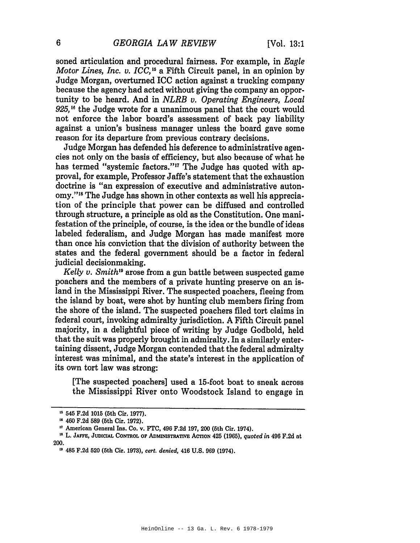soned articulation and procedural fairness. For example, in Eagle Motor Lines, Inc. v. ICC,<sup>15</sup> a Fifth Circuit panel, in an opinion by Judge Morgan, overturned ICC action against a trucking company because the agency had acted without giving the company an opportunity to be heard. And in *NLRB v. Operating Engineers*, *Local*  $925$ ,<sup>16</sup> the Judge wrote for a unanimous panel that the court would not enforce the labor board's assessment of back pay liability against a union's business manager unless the board gave some reason for its departure from previous contrary decisions.

Judge Morgan has defended his deference to administrative agencies not only on the basis of efficiency, but also because of what he has termed "systemic factors."<sup>17</sup> The Judge has quoted with approval, for example, Professor Jaffe's statement that the exhaustion doctrine is "an expression of executive and administrative autonomy."<sup>18</sup> The Judge has shown in other contexts as well his appreciation of the principle that power can be diffused and controlled through structure, a principle as old as the Constitution. One manifestation of the principle, of course, is the idea or the bundle of ideas labeled federalism, and Judge Morgan has made manifest more than once his conviction that the division of authority between the states and the federal government should be a factor in federal judicial decisionmaking.

Kelly v. Smith<sup>19</sup> arose from a gun battle between suspected game poachers and the members of a private hunting preserve on an island in the Mississippi River. The suspected poachers, fleeing from the island by boat, were shot by hunting club members firing from the shore of the island. The suspected poachers filed tort claims in federal court, invoking admiralty jurisdiction. A Fifth Circuit panel majority, in a delightful piece of writing by Judge Godbold, held that the suit was properly brought in admiralty. In a similarly entertaining dissent, Judge Morgan contended that the federal admiralty interest was minimal, and the state's interest in the application of its own tort law was strong:

[The suspected poachers] used a 15-foot boat to sneak across the Mississippi River onto Woodstock Island to engage in

<sup>&</sup>lt;sup>15</sup> 545 F.2d 1015 (5th Cir. 1977).

<sup>&</sup>lt;sup>16</sup> 460 F.2d 589 (5th Cir. 1972).

<sup>&</sup>quot; American General Ins. Co. v. FTC, 496 F.2d 197, 200 (5th Cir. 1974).

<sup>&</sup>lt;sup>18</sup> L. JAFFE, JUDICIAL CONTROL OF ADMINISTRATIVE ACTION 425 (1965), quoted in 496 F.2d at 200.

<sup>&</sup>lt;sup>19</sup> 485 F.2d 520 (5th Cir. 1973), cert. denied, 416 U.S. 969 (1974).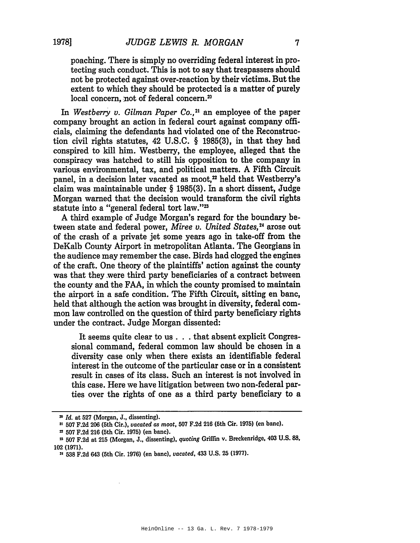7

poaching. There is simply no overriding federal interest in protecting such conduct. This is not to say that trespassers should not be protected against over-reaction by their victims. But the extent to which they should be protected is a matter of purely local concern, not of federal concern.<sup>20</sup>

In Westberry v. Gilman Paper Co.,<sup>21</sup> an employee of the paper company brought an action in federal court against company officials, claiming the defendants had violated one of the Reconstruction civil rights statutes, 42 U.S.C. § 1985(3), in that they had conspired to kill him. Westberry, the employee, alleged that the conspiracy was hatched to still his opposition to the company in various environmental, tax, and political matters. A Fifth Circuit panel, in a decision later vacated as moot,<sup>22</sup> held that Westberry's claim was maintainable under § 1985(3). In a short dissent, Judge Morgan warned that the decision would transform the civil rights statute into a "general federal tort law."<sup>23</sup>

A third example of Judge Morgan's regard for the boundary between state and federal power, Miree v. United States,<sup>24</sup> arose out of the crash of a private jet some years ago in take-off from the DeKalb County Airport in metropolitan Atlanta. The Georgians in the audience may remember the case. Birds had clogged the engines of the craft. One theory of the plaintiffs' action against the county was that they were third party beneficiaries of a contract between the county and the FAA, in which the county promised to maintain the airport in a safe condition. The Fifth Circuit, sitting en banc, held that although the action was brought in diversity, federal common law controlled on the question of third party beneficiary rights under the contract. Judge Morgan dissented:

It seems quite clear to us . . . that absent explicit Congressional command, federal common law should be chosen in a diversity case only when there exists an identifiable federal interest in the outcome of the particular case or in a consistent result in cases of its class. Such an interest is not involved in this case. Here we have litigation between two non-federal parties over the rights of one as a third party beneficiary to a

<sup>&</sup>lt;sup>20</sup> Id. at 527 (Morgan, J., dissenting).

<sup>&</sup>lt;sup>21</sup> 507 F.2d 206 (5th Cir.), vacated as moot, 507 F.2d 216 (5th Cir. 1975) (en banc).

<sup>&</sup>lt;sup>2</sup> 507 F.2d 216 (5th Cir. 1975) (en banc).

<sup>&</sup>lt;sup>22</sup> 507 F.2d at 215 (Morgan, J., dissenting), quoting Griffin v. Breckenridge, 403 U.S. 88, 102 (1971).

<sup>24 538</sup> F.2d 643 (5th Cir. 1976) (en banc), vacated, 433 U.S. 25 (1977).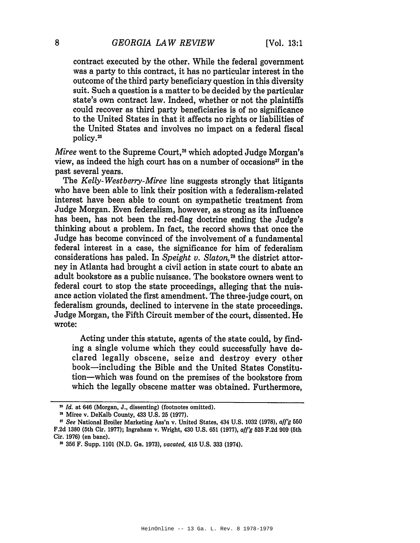contract executed by the other. While the federal government was a party to this contract, it has no particular interest in the outcome of the third party beneficiary question in this diversity suit. Such a question is a matter to be decided by the particular state's own contract law. Indeed, whether or not the plaintiffs could recover as third party beneficiaries is of no significance to the United States in that it affects no rights or liabilities of the United States and involves no impact on a federal fiscal policy.<sup>25</sup>

Miree went to the Supreme Court,<sup>26</sup> which adopted Judge Morgan's view, as indeed the high court has on a number of occasions<sup>27</sup> in the past several vears.

The Kelly-Westberry-Miree line suggests strongly that litigants who have been able to link their position with a federalism-related interest have been able to count on sympathetic treatment from Judge Morgan. Even federalism, however, as strong as its influence has been, has not been the red-flag doctrine ending the Judge's thinking about a problem. In fact, the record shows that once the Judge has become convinced of the involvement of a fundamental federal interest in a case, the significance for him of federalism considerations has paled. In Speight v. Slaton,<sup>28</sup> the district attorney in Atlanta had brought a civil action in state court to abate an adult bookstore as a public nuisance. The bookstore owners went to federal court to stop the state proceedings, alleging that the nuisance action violated the first amendment. The three-judge court, on federalism grounds, declined to intervene in the state proceedings. Judge Morgan, the Fifth Circuit member of the court, dissented. He wrote:

Acting under this statute, agents of the state could, by finding a single volume which they could successfully have declared legally obscene, seize and destroy every other book-including the Bible and the United States Constitution-which was found on the premises of the bookstore from which the legally obscene matter was obtained. Furthermore,

8

<sup>&</sup>lt;sup>25</sup> Id. at 646 (Morgan, J., dissenting) (footnotes omitted).

<sup>&</sup>lt;sup>28</sup> Miree v. DeKalb County, 433 U.S. 25 (1977).

<sup>&</sup>lt;sup>17</sup> See National Broiler Marketing Ass'n v. United States, 434 U.S. 1032 (1978), aff'g 550 F.2d 1380 (5th Cir. 1977); Ingraham v. Wright, 430 U.S. 651 (1977), aff'g 525 F.2d 909 (5th Cir. 1976) (en banc).

<sup>&</sup>lt;sup>28</sup> 356 F. Supp. 1101 (N.D. Ga. 1973), vacated, 415 U.S. 333 (1974).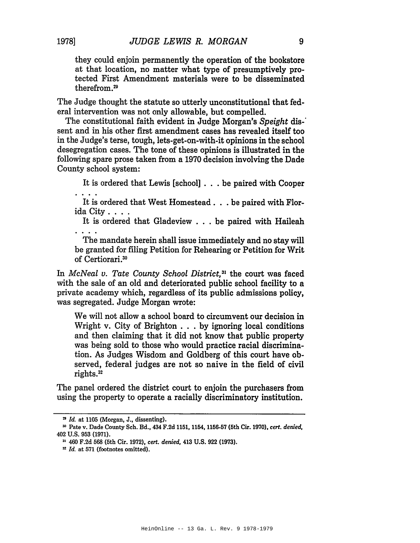they could enjoin permanently the operation of the bookstore at that location, no matter what type of presumptively protected First Amendment materials were to be disseminated therefrom.<sup>29</sup>

The Judge thought the statute so utterly unconstitutional that federal intervention was not only allowable, but compelled.

The constitutional faith evident in Judge Morgan's Speight dissent and in his other first amendment cases has revealed itself too in the Judge's terse, tough, lets-get-on-with-it opinions in the school desegregation cases. The tone of these opinions is illustrated in the following spare prose taken from a 1970 decision involving the Dade County school system:

It is ordered that Lewis [school] . . . be paired with Cooper

It is ordered that West Homestead . . . be paired with Florida City . . . .

It is ordered that Gladeview . . . be paired with Haileah

The mandate herein shall issue immediately and no stay will be granted for filing Petition for Rehearing or Petition for Writ of Certiorari.<sup>30</sup>

In McNeal v. Tate County School District,<sup>31</sup> the court was faced with the sale of an old and deteriorated public school facility to a private academy which, regardless of its public admissions policy, was segregated. Judge Morgan wrote:

We will not allow a school board to circumvent our decision in Wright v. City of Brighton . . . by ignoring local conditions and then claiming that it did not know that public property was being sold to those who would practice racial discrimination. As Judges Wisdom and Goldberg of this court have observed, federal judges are not so naive in the field of civil rights.<sup>32</sup>

The panel ordered the district court to enjoin the purchasers from using the property to operate a racially discriminatory institution.

<sup>&</sup>lt;sup>29</sup> Id. at 1105 (Morgan, J., dissenting).

<sup>&</sup>lt;sup>30</sup> Pate v. Dade County Sch. Bd., 434 F.2d 1151, 1154, 1156-57 (5th Cir. 1970), cert. denied, 402 U.S. 953 (1971).

<sup>&</sup>lt;sup>11</sup> 460 F.2d 568 (5th Cir. 1972), cert. denied, 413 U.S. 922 (1973).

<sup>&</sup>lt;sup>32</sup> Id. at 571 (footnotes omitted).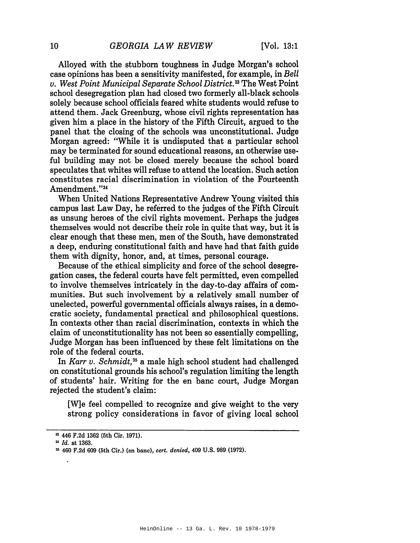Alloyed with the stubborn toughness in Judge Morgan's school case opinions has been a sensitivity manifested, for example, in Bell v. West Point Municipal Separate School District.<sup>33</sup> The West Point school desegregation plan had closed two formerly all-black schools solely because school officials feared white students would refuse to attend them. Jack Greenburg, whose civil rights representation has given him a place in the history of the Fifth Circuit, argued to the panel that the closing of the schools was unconstitutional. Judge Morgan agreed: "While it is undisputed that a particular school may be terminated for sound educational reasons, an otherwise useful building may not be closed merely because the school board speculates that whites will refuse to attend the location. Such action constitutes racial discrimination in violation of the Fourteenth Amendment."34

When United Nations Representative Andrew Young visited this campus last Law Day, he referred to the judges of the Fifth Circuit as unsung heroes of the civil rights movement. Perhaps the judges themselves would not describe their role in quite that way, but it is clear enough that these men, men of the South, have demonstrated a deep, enduring constitutional faith and have had that faith guide them with dignity, honor, and, at times, personal courage.

Because of the ethical simplicity and force of the school desegregation cases, the federal courts have felt permitted, even compelled to involve themselves intricately in the day-to-day affairs of communities. But such involvement by a relatively small number of unelected, powerful governmental officials always raises, in a democratic society, fundamental practical and philosophical questions. In contexts other than racial discrimination, contexts in which the claim of unconstitutionality has not been so essentially compelling. Judge Morgan has been influenced by these felt limitations on the role of the federal courts.

In Karr v. Schmidt,<sup>35</sup> a male high school student had challenged on constitutional grounds his school's regulation limiting the length of students' hair. Writing for the en banc court, Judge Morgan rejected the student's claim:

[W] e feel compelled to recognize and give weight to the very strong policy considerations in favor of giving local school

<sup>&</sup>lt;sup>33</sup> 446 F.2d 1362 (5th Cir. 1971).

<sup>&</sup>lt;sup>34</sup> Id. at 1363.

<sup>&</sup>lt;sup>35</sup> 460 F.2d 609 (5th Cir.) (en banc), cert. denied, 409 U.S. 989 (1972).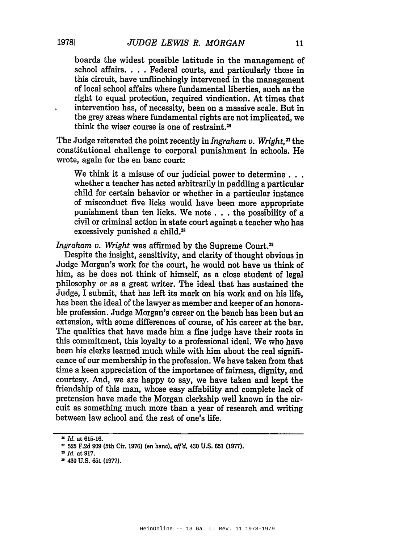boards the widest possible latitude in the management of

school affairs. . . . Federal courts, and particularly those in this circuit, have unflinchingly intervened in the management of local school affairs where fundamental liberties, such as the right to equal protection, required vindication. At times that intervention has, of necessity, been on a massive scale. But in the grey areas where fundamental rights are not implicated, we think the wiser course is one of restraint.<sup>35</sup>

The Judge reiterated the point recently in Ingraham v. Wright,<sup>37</sup> the constitutional challenge to corporal punishment in schools. He wrote, again for the en banc court:

We think it a misuse of our judicial power to determine... whether a teacher has acted arbitrarily in paddling a particular child for certain behavior or whether in a particular instance of misconduct five licks would have been more appropriate punishment than ten licks. We note . . . the possibility of a civil or criminal action in state court against a teacher who has excessively punished a child.<sup>38</sup>

Ingraham v. Wright was affirmed by the Supreme Court.<sup>39</sup>

Despite the insight, sensitivity, and clarity of thought obvious in Judge Morgan's work for the court, he would not have us think of him, as he does not think of himself, as a close student of legal philosophy or as a great writer. The ideal that has sustained the Judge, I submit, that has left its mark on his work and on his life, has been the ideal of the lawyer as member and keeper of an honorable profession. Judge Morgan's career on the bench has been but an extension, with some differences of course, of his career at the bar. The qualities that have made him a fine judge have their roots in this commitment, this loyalty to a professional ideal. We who have been his clerks learned much while with him about the real significance of our membership in the profession. We have taken from that time a keen appreciation of the importance of fairness, dignity, and courtesy. And, we are happy to say, we have taken and kept the friendship of this man, whose easy affability and complete lack of pretension have made the Morgan clerkship well known in the circuit as something much more than a year of research and writing between law school and the rest of one's life.

<sup>&</sup>lt;sup>38</sup> Id. at 615-16.

<sup>&</sup>lt;sup>37</sup> 525 F.2d 909 (5th Cir. 1976) (en banc), aff'd, 430 U.S. 651 (1977).

<sup>&</sup>lt;sup>33</sup> Id. at 917.

<sup>&</sup>lt;sup>29</sup> 430 U.S. 651 (1977).